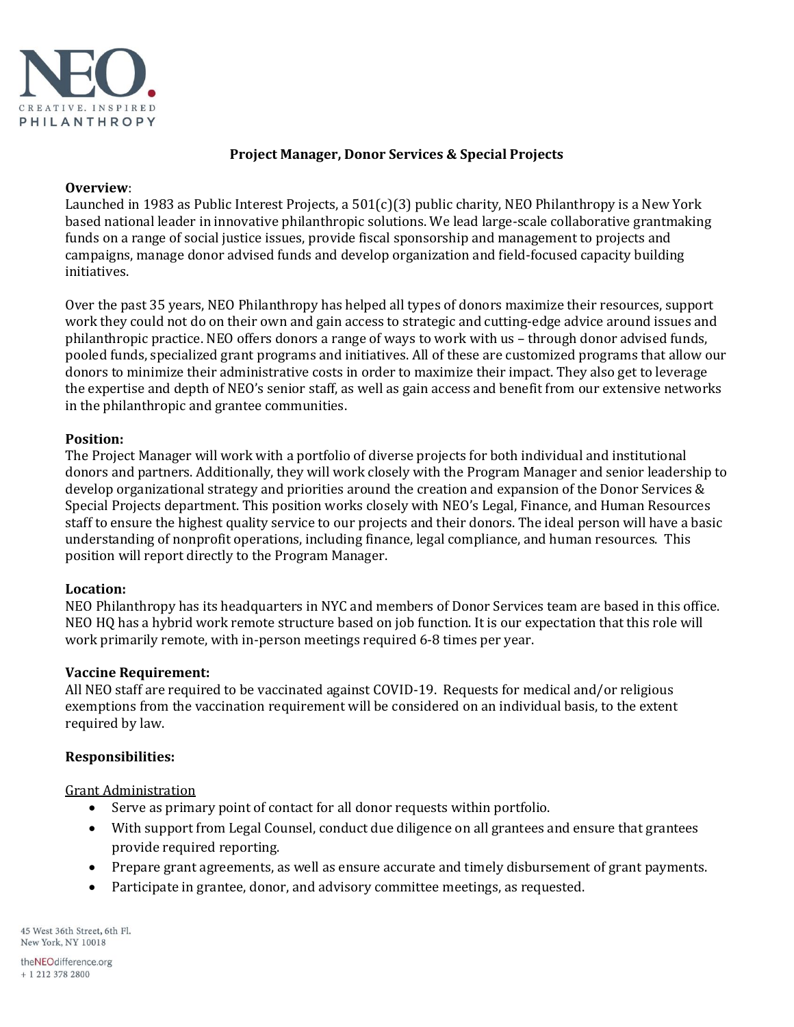

### **Project Manager, Donor Services & Special Projects**

#### **Overview**:

Launched in 1983 as Public Interest Projects, a 501(c)(3) public charity, NEO Philanthropy is a New York based national leader in innovative philanthropic solutions. We lead large-scale collaborative grantmaking funds on a range of social justice issues, provide fiscal sponsorship and management to projects and campaigns, manage donor advised funds and develop organization and field-focused capacity building initiatives.

Over the past 35 years, NEO Philanthropy has helped all types of donors maximize their resources, support work they could not do on their own and gain access to strategic and cutting-edge advice around issues and philanthropic practice. NEO offers donors a range of ways to work with us – throug[h donor advised funds,](http://neophil.wpengine.com/donor-services/donor-advised-funds/)  pooled funds, specialized grant programs and initiatives. All of these are customized programs that allow our donors to minimize their administrative costs in order to maximize their impact. They also get to leverage the expertise and depth of NEO's senior staff, as well as gain access and benefit from our extensive networks in the philanthropic and grantee communities.

### **Position:**

The Project Manager will work with a portfolio of diverse projects for both individual and institutional donors and partners. Additionally, they will work closely with the Program Manager and senior leadership to develop organizational strategy and priorities around the creation and expansion of the Donor Services & Special Projects department. This position works closely with NEO's Legal, Finance, and Human Resources staff to ensure the highest quality service to our projects and their donors. The ideal person will have a basic understanding of nonprofit operations, including finance, legal compliance, and human resources. This position will report directly to the Program Manager.

#### **Location:**

NEO Philanthropy has its headquarters in NYC and members of Donor Services team are based in this office. NEO HQ has a hybrid work remote structure based on job function. It is our expectation that this role will work primarily remote, with in-person meetings required 6-8 times per year.

#### **Vaccine Requirement:**

All NEO staff are required to be vaccinated against COVID-19. Requests for medical and/or religious exemptions from the vaccination requirement will be considered on an individual basis, to the extent required by law.

### **Responsibilities:**

Grant Administration

- Serve as primary point of contact for all donor requests within portfolio.
- With support from Legal Counsel, conduct due diligence on all grantees and ensure that grantees provide required reporting.
- Prepare grant agreements, as well as ensure accurate and timely disbursement of grant payments.
- Participate in grantee, donor, and advisory committee meetings, as requested.

45 West 36th Street, 6th Fl. New York, NY 10018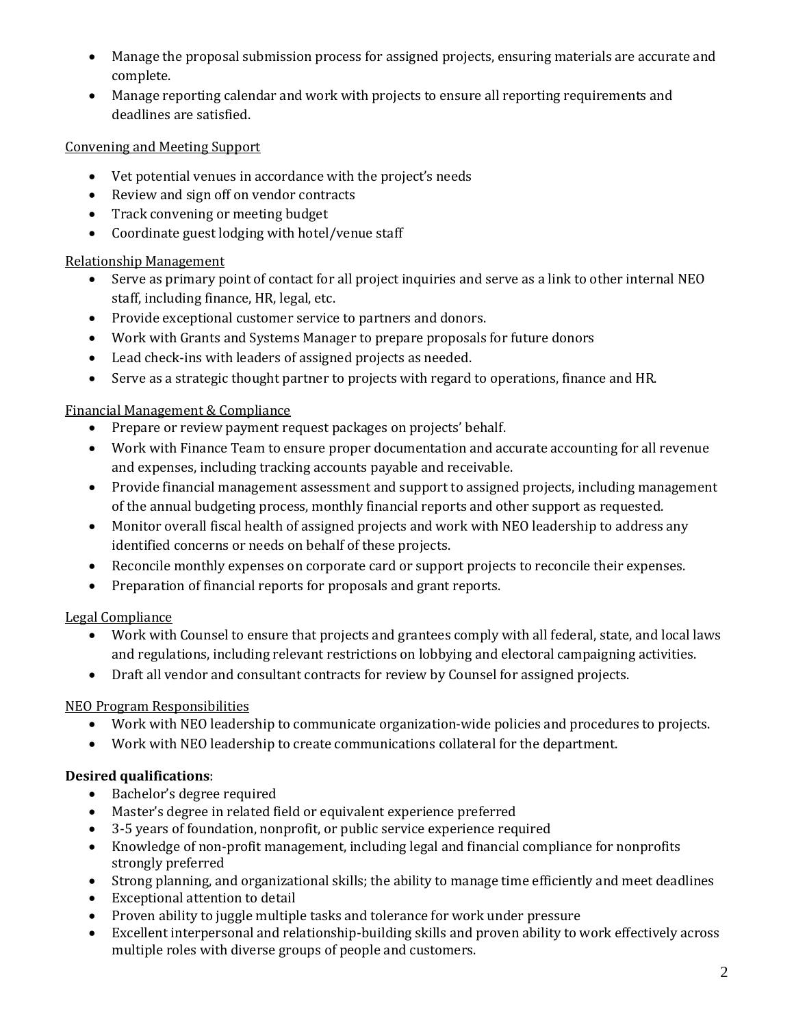- Manage the proposal submission process for assigned projects, ensuring materials are accurate and complete.
- Manage reporting calendar and work with projects to ensure all reporting requirements and deadlines are satisfied.

## Convening and Meeting Support

- Vet potential venues in accordance with the project's needs
- Review and sign off on vendor contracts
- Track convening or meeting budget
- Coordinate guest lodging with hotel/venue staff

## Relationship Management

- Serve as primary point of contact for all project inquiries and serve as a link to other internal NEO staff, including finance, HR, legal, etc.
- Provide exceptional customer service to partners and donors.
- Work with Grants and Systems Manager to prepare proposals for future donors
- Lead check-ins with leaders of assigned projects as needed.
- Serve as a strategic thought partner to projects with regard to operations, finance and HR.

## Financial Management & Compliance

- Prepare or review payment request packages on projects' behalf.
- Work with Finance Team to ensure proper documentation and accurate accounting for all revenue and expenses, including tracking accounts payable and receivable.
- Provide financial management assessment and support to assigned projects, including management of the annual budgeting process, monthly financial reports and other support as requested.
- Monitor overall fiscal health of assigned projects and work with NEO leadership to address any identified concerns or needs on behalf of these projects.
- Reconcile monthly expenses on corporate card or support projects to reconcile their expenses.
- Preparation of financial reports for proposals and grant reports.

# Legal Compliance

- Work with Counsel to ensure that projects and grantees comply with all federal, state, and local laws and regulations, including relevant restrictions on lobbying and electoral campaigning activities.
- Draft all vendor and consultant contracts for review by Counsel for assigned projects.

# NEO Program Responsibilities

- Work with NEO leadership to communicate organization-wide policies and procedures to projects.
- Work with NEO leadership to create communications collateral for the department.

# **Desired qualifications**:

- Bachelor's degree required
- Master's degree in related field or equivalent experience preferred
- 3-5 years of foundation, nonprofit, or public service experience required
- Knowledge of non-profit management, including legal and financial compliance for nonprofits strongly preferred
- Strong planning, and organizational skills; the ability to manage time efficiently and meet deadlines
- Exceptional attention to detail
- Proven ability to juggle multiple tasks and tolerance for work under pressure
- Excellent interpersonal and relationship-building skills and proven ability to work effectively across multiple roles with diverse groups of people and customers.